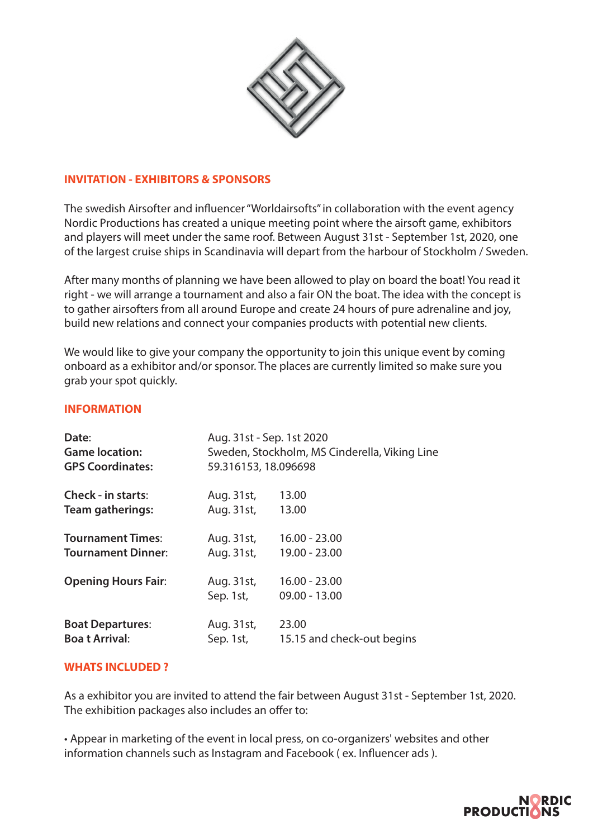

#### **INVITATION - EXHIBITORS & SPONSORS**

The swedish Airsofter and influencer "Worldairsofts" in collaboration with the event agency Nordic Productions has created a unique meeting point where the airsoft game, exhibitors and players will meet under the same roof. Between August 31st - September 1st, 2020, one of the largest cruise ships in Scandinavia will depart from the harbour of Stockholm / Sweden.

After many months of planning we have been allowed to play on board the boat! You read it right - we will arrange a tournament and also a fair ON the boat. The idea with the concept is to gather airsofters from all around Europe and create 24 hours of pure adrenaline and joy, build new relations and connect your companies products with potential new clients.

We would like to give your company the opportunity to join this unique event by coming onboard as a exhibitor and/or sponsor. The places are currently limited so make sure you grab your spot quickly.

#### **INFORMATION**

| Date:                      | Aug. 31st - Sep. 1st 2020                     |                                    |
|----------------------------|-----------------------------------------------|------------------------------------|
| <b>Game location:</b>      | Sweden, Stockholm, MS Cinderella, Viking Line |                                    |
| <b>GPS Coordinates:</b>    | 59.316153, 18.096698                          |                                    |
| <b>Check - in starts:</b>  | Aug. 31st,                                    | 13.00                              |
| Team gatherings:           | Aug. 31st,                                    | 13.00                              |
| <b>Tournament Times:</b>   | Aug. 31st,                                    | $16.00 - 23.00$                    |
| <b>Tournament Dinner:</b>  | Aug. 31st,                                    | 19.00 - 23.00                      |
| <b>Opening Hours Fair:</b> | Aug. 31st,<br>Sep. 1st,                       | $16.00 - 23.00$<br>$09.00 - 13.00$ |
| <b>Boat Departures:</b>    | Aug. 31st,                                    | 23.00                              |
| <b>Boat Arrival:</b>       | Sep. 1st,                                     | 15.15 and check-out begins         |

#### **WHATS INCLUDED ?**

As a exhibitor you are invited to attend the fair between August 31st - September 1st, 2020. The exhibition packages also includes an offer to:

• Appear in marketing of the event in local press, on co-organizers' websites and other information channels such as Instagram and Facebook (ex. Influencer ads).

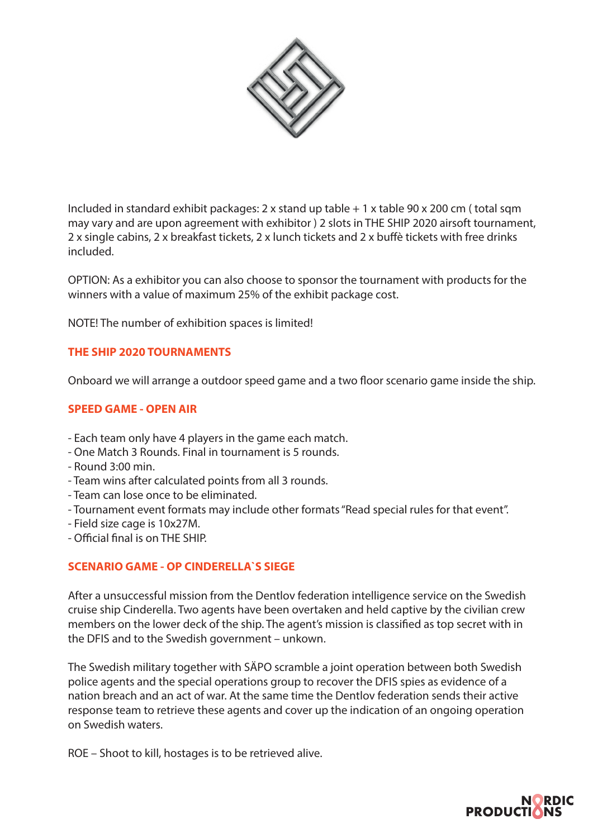

Included in standard exhibit packages: 2 x stand up table + 1 x table 90 x 200 cm ( total sqm may vary and are upon agreement with exhibitor ) 2 slots in THE SHIP 2020 airsoft tournament, 2 x single cabins, 2 x breakfast tickets, 2 x lunch tickets and 2 x buffè tickets with free drinks included.

OPTION: As a exhibitor you can also choose to sponsor the tournament with products for the winners with a value of maximum 25% of the exhibit package cost.

NOTE! The number of exhibition spaces is limited!

### **THE SHIP 2020 TOURNAMENTS**

Onboard we will arrange a outdoor speed game and a two floor scenario game inside the ship.

#### **SPEED GAME - OPEN AIR**

- Each team only have 4 players in the game each match.
- One Match 3 Rounds. Final in tournament is 5 rounds.
- Round 3:00 min.
- Team wins after calculated points from all 3 rounds.
- Team can lose once to be eliminated.
- Tournament event formats may include other formats "Read special rules for that event".
- Field size cage is 10x27M.
- Official final is on THE SHIP.

#### **SCENARIO GAME - OP CINDERELLA`S SIEGE**

After a unsuccessful mission from the Dentlov federation intelligence service on the Swedish cruise ship Cinderella. Two agents have been overtaken and held captive by the civilian crew members on the lower deck of the ship. The agent's mission is classified as top secret with in the DFIS and to the Swedish government – unkown.

The Swedish military together with SÄPO scramble a joint operation between both Swedish police agents and the special operations group to recover the DFIS spies as evidence of a nation breach and an act of war. At the same time the Dentlov federation sends their active response team to retrieve these agents and cover up the indication of an ongoing operation on Swedish waters.

ROE – Shoot to kill, hostages is to be retrieved alive.